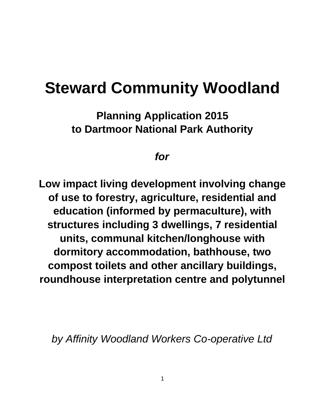# **Steward Community Woodland**

**Planning Application 2015 to Dartmoor National Park Authority**

## *for*

**Low impact living development involving change of use to forestry, agriculture, residential and education (informed by permaculture), with structures including 3 dwellings, 7 residential units, communal kitchen/longhouse with dormitory accommodation, bathhouse, two compost toilets and other ancillary buildings, roundhouse interpretation centre and polytunnel**

*by Affinity Woodland Workers Co-operative Ltd*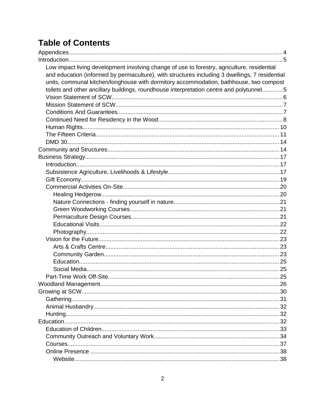## **Table of Contents**

| Low impact living development involving change of use to forestry, agriculture, residential    |  |
|------------------------------------------------------------------------------------------------|--|
| and education (informed by permaculture), with structures including 3 dwellings, 7 residential |  |
| units, communal kitchen/longhouse with dormitory accommodation, bathhouse, two compost         |  |
| toilets and other ancillary buildings, roundhouse interpretation centre and polytunnel5        |  |
|                                                                                                |  |
|                                                                                                |  |
|                                                                                                |  |
|                                                                                                |  |
|                                                                                                |  |
|                                                                                                |  |
|                                                                                                |  |
|                                                                                                |  |
|                                                                                                |  |
|                                                                                                |  |
|                                                                                                |  |
|                                                                                                |  |
|                                                                                                |  |
|                                                                                                |  |
|                                                                                                |  |
|                                                                                                |  |
|                                                                                                |  |
|                                                                                                |  |
|                                                                                                |  |
|                                                                                                |  |
|                                                                                                |  |
|                                                                                                |  |
|                                                                                                |  |
|                                                                                                |  |
|                                                                                                |  |
|                                                                                                |  |
|                                                                                                |  |
|                                                                                                |  |
|                                                                                                |  |
|                                                                                                |  |
|                                                                                                |  |
|                                                                                                |  |
|                                                                                                |  |
|                                                                                                |  |
|                                                                                                |  |
|                                                                                                |  |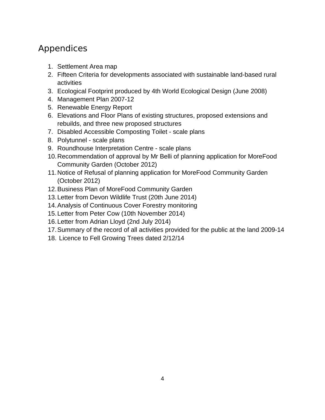## Appendices

- 1. Settlement Area map
- 2. Fifteen Criteria for developments associated with sustainable land-based rural activities
- 3. Ecological Footprint produced by 4th World Ecological Design (June 2008)
- 4. Management Plan 2007-12
- 5. Renewable Energy Report
- 6. Elevations and Floor Plans of existing structures, proposed extensions and rebuilds, and three new proposed structures
- 7. Disabled Accessible Composting Toilet scale plans
- 8. Polytunnel scale plans
- 9. Roundhouse Interpretation Centre scale plans
- 10.Recommendation of approval by Mr Belli of planning application for MoreFood Community Garden (October 2012)
- 11.Notice of Refusal of planning application for MoreFood Community Garden (October 2012)
- 12.Business Plan of MoreFood Community Garden
- 13.Letter from Devon Wildlife Trust (20th June 2014)
- 14.Analysis of Continuous Cover Forestry monitoring
- 15.Letter from Peter Cow (10th November 2014)
- 16.Letter from Adrian Lloyd (2nd July 2014)
- 17.Summary of the record of all activities provided for the public at the land 2009-14
- 18. Licence to Fell Growing Trees dated 2/12/14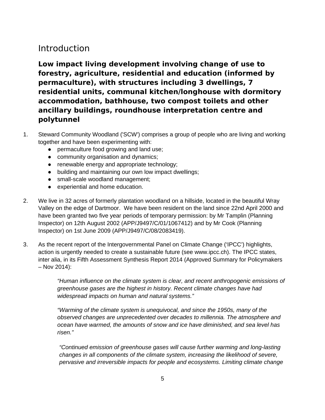## Introduction

**Low impact living development involving change of use to forestry, agriculture, residential and education (informed by permaculture), with structures including 3 dwellings, 7 residential units, communal kitchen/longhouse with dormitory accommodation, bathhouse, two compost toilets and other ancillary buildings, roundhouse interpretation centre and polytunnel**

- 1. Steward Community Woodland ('SCW') comprises a group of people who are living and working together and have been experimenting with:
	- permaculture food growing and land use;
	- community organisation and dynamics;
	- renewable energy and appropriate technology;
	- building and maintaining our own low impact dwellings;
	- small-scale woodland management;
	- experiential and home education.
- 2. We live in 32 acres of formerly plantation woodland on a hillside, located in the beautiful Wray Valley on the edge of Dartmoor. We have been resident on the land since 22nd April 2000 and have been granted two five year periods of temporary permission: by Mr Tamplin (Planning Inspector) on 12th August 2002 (APP/J9497/C/01/1067412) and by Mr Cook (Planning Inspector) on 1st June 2009 (APP/J9497/C/08/2083419).
- 3. As the recent report of the Intergovernmental Panel on Climate Change ('IPCC') highlights, action is urgently needed to create a sustainable future (see www.ipcc.ch). The IPCC states, inter alia, in its Fifth Assessment Synthesis Report 2014 (Approved Summary for Policymakers – Nov 2014):

*"Human influence on the climate system is clear, and recent anthropogenic emissions of greenhouse gases are the highest in history. Recent climate changes have had widespread impacts on human and natural systems."*

*"Warming of the climate system is unequivocal, and since the 1950s, many of the observed changes are unprecedented over decades to millennia. The atmosphere and ocean have warmed, the amounts of snow and ice have diminished, and sea level has risen."*

*"Continued emission of greenhouse gases will cause further warming and long-lasting changes in all components of the climate system, increasing the likelihood of severe, pervasive and irreversible impacts for people and ecosystems. Limiting climate change*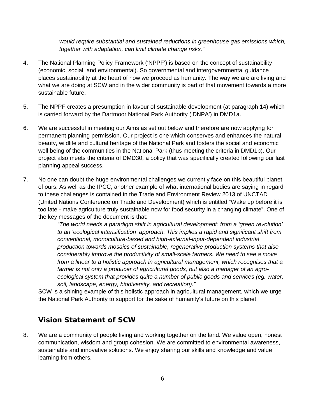*would require substantial and sustained reductions in greenhouse gas emissions which, together with adaptation, can limit climate change risks."*

- 4. The National Planning Policy Framework ('NPPF') is based on the concept of sustainability (economic, social, and environmental). So governmental and intergovernmental guidance places sustainability at the heart of how we proceed as humanity. The way we are are living and what we are doing at SCW and in the wider community is part of that movement towards a more sustainable future.
- 5. The NPPF creates a presumption in favour of sustainable development (at paragraph 14) which is carried forward by the Dartmoor National Park Authority ('DNPA') in DMD1a.
- 6. We are successful in meeting our Aims as set out below and therefore are now applying for permanent planning permission. Our project is one which conserves and enhances the natural beauty, wildlife and cultural heritage of the National Park and fosters the social and economic well being of the communities in the National Park (thus meeting the criteria in DMD1b). Our project also meets the criteria of DMD30, a policy that was specifically created following our last planning appeal success.
- 7. No one can doubt the huge environmental challenges we currently face on this beautiful planet of ours. As well as the IPCC, another example of what international bodies are saying in regard to these challenges is contained in the Trade and Environment Review 2013 of UNCTAD (United Nations Conference on Trade and Development) which is entitled "Wake up before it is too late - make agriculture truly sustainable now for food security in a changing climate". One of the key messages of the document is that:

*"The world needs a paradigm shift in agricultural development: from a 'green revolution' to an 'ecological intensification' approach. This implies a rapid and significant shift from conventional, monoculture-based and high-external-input-dependent industrial production towards mosaics of sustainable, regenerative production systems that also considerably improve the productivity of small-scale farmers. We need to see a move from a linear to a holistic approach in agricultural management, which recognises that a farmer is not only a producer of agricultural goods, but also a manager of an agroecological system that provides quite a number of public goods and services (eg. water, soil, landscape, energy, biodiversity, and recreation)."*

SCW is a shining example of this holistic approach in agricultural management, which we urge the National Park Authority to support for the sake of humanity's future on this planet.

#### **Vision Statement of SCW**

8. We are a community of people living and working together on the land. We value open, honest communication, wisdom and group cohesion. We are committed to environmental awareness, sustainable and innovative solutions. We enjoy sharing our skills and knowledge and value learning from others.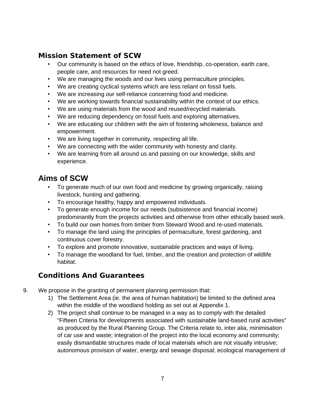#### **Mission Statement of SCW**

- Our community is based on the ethics of love, friendship, co-operation, earth care, people care, and resources for need not greed.
- We are managing the woods and our lives using permaculture principles.
- We are creating cyclical systems which are less reliant on fossil fuels.
- We are increasing our self-reliance concerning food and medicine.
- We are working towards financial sustainability within the context of our ethics.
- We are using materials from the wood and reused/recycled materials.
- We are reducing dependency on fossil fuels and exploring alternatives.
- We are educating our children with the aim of fostering wholeness, balance and empowerment.
- We are living together in community, respecting all life.
- We are connecting with the wider community with honesty and clarity.
- We are learning from all around us and passing on our knowledge, skills and experience.

## **Aims of SCW**

- To generate much of our own food and medicine by growing organically, raising livestock, hunting and gathering.
- To encourage healthy, happy and empowered individuals.
- To generate enough income for our needs (subsistence and financial income) predominantly from the projects activities and otherwise from other ethically based work.
- To build our own homes from timber from Steward Wood and re-used materials.
- To manage the land using the principles of permaculture, forest gardening, and continuous cover forestry.
- To explore and promote innovative, sustainable practices and ways of living.
- To manage the woodland for fuel, timber, and the creation and protection of wildlife habitat.

### **Conditions And Guarantees**

- 9. We propose in the granting of permanent planning permission that:
	- 1) The Settlement Area (ie. the area of human habitation) be limited to the defined area within the middle of the woodland holding as set out at Appendix 1.
	- 2) The project shall continue to be managed in a way as to comply with the detailed "Fifteen Criteria for developments associated with sustainable land-based rural activities" as produced by the Rural Planning Group. The Criteria relate to, inter alia, minimisation of car use and waste; integration of the project into the local economy and community; easily dismantlable structures made of local materials which are not visually intrusive; autonomous provision of water, energy and sewage disposal; ecological management of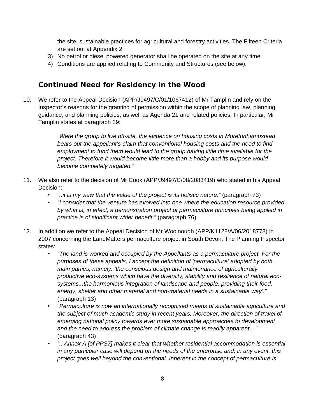the site; sustainable practices for agricultural and forestry activities. The Fifteen Criteria are set out at Appendix 2.

- 3) No petrol or diesel powered generator shall be operated on the site at any time.
- 4) Conditions are applied relating to Community and Structures (see below).

#### **Continued Need for Residency in the Wood**

10. We refer to the Appeal Decision (APP/J9497/C/01/1067412) of Mr Tamplin and rely on the Inspector's reasons for the granting of permission within the scope of planning law, planning guidance, and planning policies, as well as Agenda 21 and related policies. In particular, Mr Tamplin states at paragraph 29:

> *"Were the group to live off-site, the evidence on housing costs in Moretonhampstead bears out the appellant's claim that conventional housing costs and the need to find employment to fund them would lead to the group having little time available for the project. Therefore it would become little more than a hobby and its purpose would become completely negated."*

- 11. We also refer to the decision of Mr Cook (APP/J9497/C/08/2083419) who stated in his Appeal Decision:
	- *"..it is my view that the value of the project is its holistic nature."* (paragraph 73)
	- *"I consider that the venture has evolved into one where the education resource provided by what is, in effect, a demonstration project of permaculture principles being applied in practice is of significant wider benefit."* (paragraph 76)
- 12. In addition we refer to the Appeal Decision of Mr Woolnough (APP/K1128/A/06/2018778) in 2007 concerning the LandMatters permaculture project in South Devon. The Planning Inspector states:
	- *"The land is worked and occupied by the Appellants as a permaculture project. For the purposes of these appeals, I accept the definition of 'permaculture' adopted by both main parties, namely: 'the conscious design and maintenance of agriculturally productive eco-systems which have the diversity, stability and resilience of natural ecosystems...the harmonious integration of landscape and people, providing their food, energy, shelter and other material and non-material needs in a sustainable way'."* (paragraph 13)
	- *"Permaculture is now an internationally recognised means of sustainable agriculture and the subject of much academic study in recent years. Moreover, the direction of travel of emerging national policy towards ever more sustainable approaches to development and the need to address the problem of climate change is readily apparent…"* (paragraph 43)
	- *"...Annex A [of PPS7] makes it clear that whether residential accommodation is essential in any particular case will depend on the needs of the enterprise and, in any event, this project goes well beyond the conventional. Inherent in the concept of permaculture is*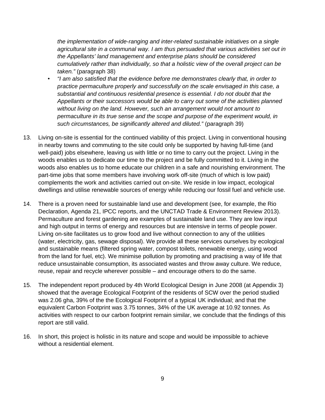*the implementation of wide-ranging and inter-related sustainable initiatives on a single agricultural site in a communal way. I am thus persuaded that various activities set out in the Appellants' land management and enterprise plans should be considered cumulatively rather than individually, so that a holistic view of the overall project can be taken."* (paragraph 38)

- *"I am also satisfied that the evidence before me demonstrates clearly that, in order to practice permaculture properly and successfully on the scale envisaged in this case, a substantial and continuous residential presence is essential. I do not doubt that the Appellants or their successors would be able to carry out some of the activities planned without living on the land. However, such an arrangement would not amount to permaculture in its true sense and the scope and purpose of the experiment would, in such circumstances, be significantly altered and diluted."* (paragraph 39)
- 13. Living on-site is essential for the continued viability of this project. Living in conventional housing in nearby towns and commuting to the site could only be supported by having full-time (and well-paid) jobs elsewhere, leaving us with little or no time to carry out the project. Living in the woods enables us to dedicate our time to the project and be fully committed to it. Living in the woods also enables us to home educate our children in a safe and nourishing environment. The part-time jobs that some members have involving work off-site (much of which is low paid) complements the work and activities carried out on-site. We reside in low impact, ecological dwellings and utilise renewable sources of energy while reducing our fossil fuel and vehicle use.
- 14. There is a proven need for sustainable land use and development (see, for example, the Rio Declaration, Agenda 21, IPCC reports, and the UNCTAD Trade & Environment Review 2013). Permaculture and forest gardening are examples of sustainable land use. They are low input and high output in terms of energy and resources but are intensive in terms of people power. Living on-site facilitates us to grow food and live without connection to any of the utilities (water, electricity, gas, sewage disposal). We provide all these services ourselves by ecological and sustainable means (filtered spring water, compost toilets, renewable energy, using wood from the land for fuel, etc). We minimise pollution by promoting and practising a way of life that reduce unsustainable consumption, its associated wastes and throw away culture. We reduce, reuse, repair and recycle wherever possible – and encourage others to do the same.
- 15. The independent report produced by 4th World Ecological Design in June 2008 (at Appendix 3) showed that the average Ecological Footprint of the residents of SCW over the period studied was 2.06 gha, 39% of the the Ecological Footprint of a typical UK individual; and that the equivalent Carbon Footprint was 3.75 tonnes, 34% of the UK average at 10.92 tonnes. As activities with respect to our carbon footprint remain similar, we conclude that the findings of this report are still valid.
- 16. In short, this project is holistic in its nature and scope and would be impossible to achieve without a residential element.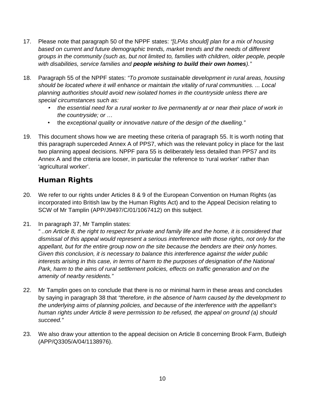- 17. Please note that paragraph 50 of the NPPF states: *"[LPAs should] plan for a mix of housing based on current and future demographic trends, market trends and the needs of different groups in the community (such as, but not limited to, families with children, older people, people with disabilities, service families and people wishing to build their own homes)."*
- 18. Paragraph 55 of the NPPF states: *"To promote sustainable development in rural areas, housing should be located where it will enhance or maintain the vitality of rural communities. ... Local planning authorities should avoid new isolated homes in the countryside unless there are special circumstances such as:*
	- *the essential need for a rural worker to live permanently at or near their place of work in the countryside; or …*
	- the *exceptional quality or innovative nature of the design of the dwelling."*
- 19. This document shows how we are meeting these criteria of paragraph 55. It is worth noting that this paragraph superceded Annex A of PPS7, which was the relevant policy in place for the last two planning appeal decisions. NPPF para 55 is deliberately less detailed than PPS7 and its Annex A and the criteria are looser, in particular the reference to 'rural worker' rather than 'agricultural worker'.

## **Human Rights**

- 20. We refer to our rights under Articles 8 & 9 of the European Convention on Human Rights (as incorporated into British law by the Human Rights Act) and to the Appeal Decision relating to SCW of Mr Tamplin (APP/J9497/C/01/1067412) on this subject.
- 21. In paragraph 37, Mr Tamplin states:

*" ..on Article 8, the right to respect for private and family life and the home, it is considered that dismissal of this appeal would represent a serious interference with those rights, not only for the appellant, but for the entire group now on the site because the benders are their only homes. Given this conclusion, it is necessary to balance this interference against the wider public interests arising in this case, in terms of harm to the purposes of designation of the National Park, harm to the aims of rural settlement policies, effects on traffic generation and on the amenity of nearby residents."*

- 22. Mr Tamplin goes on to conclude that there is no or minimal harm in these areas and concludes by saying in paragraph 38 that *"therefore, in the absence of harm caused by the development to the underlying aims of planning policies, and because of the interference with the appellant's human rights under Article 8 were permission to be refused, the appeal on ground (a) should succeed."*
- 23. We also draw your attention to the appeal decision on Article 8 concerning Brook Farm, Butleigh (APP/Q3305/A/04/1138976).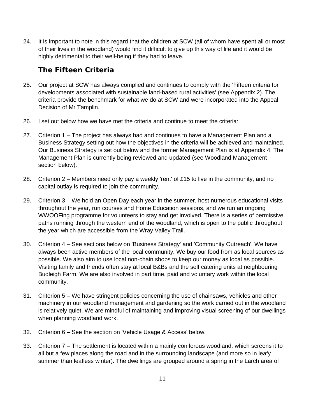24. It is important to note in this regard that the children at SCW (all of whom have spent all or most of their lives in the woodland) would find it difficult to give up this way of life and it would be highly detrimental to their well-being if they had to leave.

### **The Fifteen Criteria**

- 25. Our project at SCW has always complied and continues to comply with the 'Fifteen criteria for developments associated with sustainable land-based rural activities' (see Appendix 2). The criteria provide the benchmark for what we do at SCW and were incorporated into the Appeal Decision of Mr Tamplin.
- 26. I set out below how we have met the criteria and continue to meet the criteria:
- 27. Criterion 1 The project has always had and continues to have a Management Plan and a Business Strategy setting out how the objectives in the criteria will be achieved and maintained. Our Business Strategy is set out below and the former Management Plan is at Appendix 4. The Management Plan is currently being reviewed and updated (see Woodland Management section below).
- 28. Criterion 2 Members need only pay a weekly 'rent' of  $£15$  to live in the community, and no capital outlay is required to join the community.
- 29. Criterion 3 We hold an Open Day each year in the summer, host numerous educational visits throughout the year, run courses and Home Education sessions, and we run an ongoing WWOOFing programme for volunteers to stay and get involved. There is a series of permissive paths running through the western end of the woodland, which is open to the public throughout the year which are accessible from the Wray Valley Trail.
- 30. Criterion 4 See sections below on 'Business Strategy' and 'Community Outreach'. We have always been active members of the local community. We buy our food from as local sources as possible. We also aim to use local non-chain shops to keep our money as local as possible. Visiting family and friends often stay at local B&Bs and the self catering units at neighbouring Budleigh Farm. We are also involved in part time, paid and voluntary work within the local community.
- 31. Criterion 5 We have stringent policies concerning the use of chainsaws, vehicles and other machinery in our woodland management and gardening so the work carried out in the woodland is relatively quiet. We are mindful of maintaining and improving visual screening of our dwellings when planning woodland work.
- 32. Criterion 6 See the section on 'Vehicle Usage & Access' below.
- 33. Criterion 7 The settlement is located within a mainly coniferous woodland, which screens it to all but a few places along the road and in the surrounding landscape (and more so in leafy summer than leafless winter). The dwellings are grouped around a spring in the Larch area of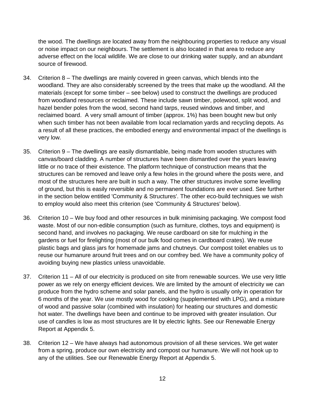the wood. The dwellings are located away from the neighbouring properties to reduce any visual or noise impact on our neighbours. The settlement is also located in that area to reduce any adverse effect on the local wildlife. We are close to our drinking water supply, and an abundant source of firewood.

- 34. Criterion 8 The dwellings are mainly covered in green canvas, which blends into the woodland. They are also considerably screened by the trees that make up the woodland. All the materials (except for some timber – see below) used to construct the dwellings are produced from woodland resources or reclaimed. These include sawn timber, polewood, split wood, and hazel bender poles from the wood, second hand tarps, reused windows and timber, and reclaimed board. A very small amount of timber (approx. 1%) has been bought new but only when such timber has not been available from local reclamation yards and recycling depots. As a result of all these practices, the embodied energy and environmental impact of the dwellings is very low.
- 35. Criterion 9 The dwellings are easily dismantlable, being made from wooden structures with canvas/board cladding. A number of structures have been dismantled over the years leaving little or no trace of their existence. The platform technique of construction means that the structures can be removed and leave only a few holes in the ground where the posts were, and most of the structures here are built in such a way. The other structures involve some levelling of ground, but this is easily reversible and no permanent foundations are ever used. See further in the section below entitled 'Community & Structures'. The other eco-build techniques we wish to employ would also meet this criterion (see 'Community & Structures' below).
- 36. Criterion 10 We buy food and other resources in bulk minimising packaging. We compost food waste. Most of our non-edible consumption (such as furniture, clothes, toys and equipment) is second hand, and involves no packaging. We reuse cardboard on site for mulching in the gardens or fuel for firelighting (most of our bulk food comes in cardboard crates). We reuse plastic bags and glass jars for homemade jams and chutneys. Our compost toilet enables us to reuse our humanure around fruit trees and on our comfrey bed. We have a community policy of avoiding buying new plastics unless unavoidable.
- 37. Criterion 11 All of our electricity is produced on site from renewable sources. We use very little power as we rely on energy efficient devices. We are limited by the amount of electricity we can produce from the hydro scheme and solar panels, and the hydro is usually only in operation for 6 months of the year. We use mostly wood for cooking (supplemented with LPG), and a mixture of wood and passive solar (combined with insulation) for heating our structures and domestic hot water. The dwellings have been and continue to be improved with greater insulation. Our use of candles is low as most structures are lit by electric lights. See our Renewable Energy Report at Appendix 5.
- 38. Criterion 12 We have always had autonomous provision of all these services. We get water from a spring, produce our own electricity and compost our humanure. We will not hook up to any of the utilities. See our Renewable Energy Report at Appendix 5.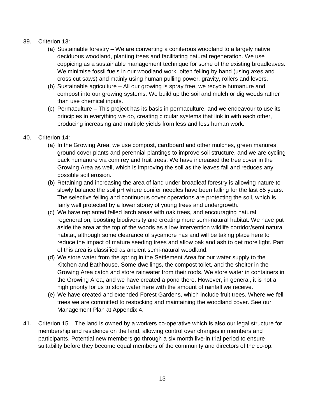#### 39. Criterion 13:

- (a) Sustainable forestry We are converting a coniferous woodland to a largely native deciduous woodland, planting trees and facilitating natural regeneration. We use coppicing as a sustainable management technique for some of the existing broadleaves. We minimise fossil fuels in our woodland work, often felling by hand (using axes and cross cut saws) and mainly using human pulling power, gravity, rollers and levers.
- (b) Sustainable agriculture All our growing is spray free, we recycle humanure and compost into our growing systems. We build up the soil and mulch or dig weeds rather than use chemical inputs.
- (c) Permaculture This project has its basis in permaculture, and we endeavour to use its principles in everything we do, creating circular systems that link in with each other, producing increasing and multiple yields from less and less human work.

#### 40. Criterion 14:

- (a) In the Growing Area, we use compost, cardboard and other mulches, green manures, ground cover plants and perennial plantings to improve soil structure, and we are cycling back humanure via comfrey and fruit trees. We have increased the tree cover in the Growing Area as well, which is improving the soil as the leaves fall and reduces any possible soil erosion.
- (b) Retaining and increasing the area of land under broadleaf forestry is allowing nature to slowly balance the soil pH where conifer needles have been falling for the last 85 years. The selective felling and continuous cover operations are protecting the soil, which is fairly well protected by a lower storey of young trees and undergrowth.
- (c) We have replanted felled larch areas with oak trees, and encouraging natural regeneration, boosting biodiversity and creating more semi-natural habitat. We have put aside the area at the top of the woods as a low intervention wildlife corridor/semi natural habitat, although some clearance of sycamore has and will be taking place here to reduce the impact of mature seeding trees and allow oak and ash to get more light. Part of this area is classified as ancient semi-natural woodland.
- (d) We store water from the spring in the Settlement Area for our water supply to the Kitchen and Bathhouse. Some dwellings, the compost toilet, and the shelter in the Growing Area catch and store rainwater from their roofs. We store water in containers in the Growing Area, and we have created a pond there. However, in general, it is not a high priority for us to store water here with the amount of rainfall we receive.
- (e) We have created and extended Forest Gardens, which include fruit trees. Where we fell trees we are committed to restocking and maintaining the woodland cover. See our Management Plan at Appendix 4.
- 41. Criterion 15 The land is owned by a workers co-operative which is also our legal structure for membership and residence on the land, allowing control over changes in members and participants. Potential new members go through a six month live-in trial period to ensure suitability before they become equal members of the community and directors of the co-op.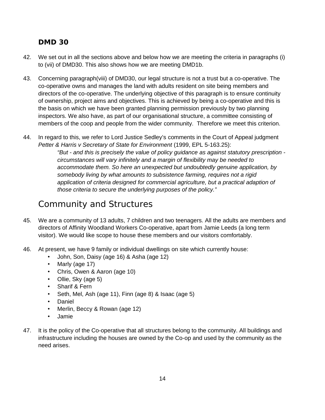#### **DMD 30**

- 42. We set out in all the sections above and below how we are meeting the criteria in paragraphs (i) to (vii) of DMD30. This also shows how we are meeting DMD1b.
- 43. Concerning paragraph(viii) of DMD30, our legal structure is not a trust but a co-operative. The co-operative owns and manages the land with adults resident on site being members and directors of the co-operative. The underlying objective of this paragraph is to ensure continuity of ownership, project aims and objectives. This is achieved by being a co-operative and this is the basis on which we have been granted planning permission previously by two planning inspectors. We also have, as part of our organisational structure, a committee consisting of members of the coop and people from the wider community. Therefore we meet this criterion.
- 44. In regard to this, we refer to Lord Justice Sedley's comments in the Court of Appeal judgment *Petter & Harris v Secretary of State for Environment* (1999, EPL 5-163.25):

*"But - and this is precisely the value of policy guidance as against statutory prescription circumstances will vary infinitely and a margin of flexibility may be needed to accommodate them. So here an unexpected but undoubtedly genuine application, by somebody living by what amounts to subsistence farming, requires not a rigid application of criteria designed for commercial agriculture, but a practical adaption of those criteria to secure the underlying purposes of the policy."*

## Community and Structures

- 45. We are a community of 13 adults, 7 children and two teenagers. All the adults are members and directors of Affinity Woodland Workers Co-operative, apart from Jamie Leeds (a long term visitor). We would like scope to house these members and our visitors comfortably.
- 46. At present, we have 9 family or individual dwellings on site which currently house:
	- John, Son, Daisy (age 16) & Asha (age 12)
	- Marly (age 17)
	- Chris, Owen & Aaron (age 10)
	- Ollie, Sky (age 5)
	- Sharif & Fern
	- Seth, Mel, Ash (age 11), Finn (age 8) & Isaac (age 5)
	- Daniel
	- Merlin, Beccy & Rowan (age 12)
	- Jamie
- 47. It is the policy of the Co-operative that all structures belong to the community. All buildings and infrastructure including the houses are owned by the Co-op and used by the community as the need arises.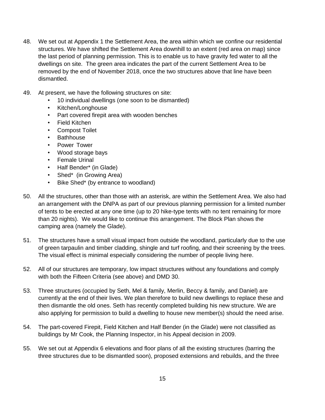- 48. We set out at Appendix 1 the Settlement Area, the area within which we confine our residential structures. We have shifted the Settlement Area downhill to an extent (red area on map) since the last period of planning permission. This is to enable us to have gravity fed water to all the dwellings on site. The green area indicates the part of the current Settlement Area to be removed by the end of November 2018, once the two structures above that line have been dismantled.
- 49. At present, we have the following structures on site:
	- 10 individual dwellings (one soon to be dismantled)
	- Kitchen/Longhouse
	- Part covered firepit area with wooden benches
	- Field Kitchen
	- Compost Toilet
	- Bathhouse
	- Power Tower
	- Wood storage bays
	- Female Urinal
	- Half Bender\* (in Glade)
	- Shed\* (in Growing Area)
	- Bike Shed\* (by entrance to woodland)
- 50. All the structures, other than those with an asterisk, are within the Settlement Area. We also had an arrangement with the DNPA as part of our previous planning permission for a limited number of tents to be erected at any one time (up to 20 hike-type tents with no tent remaining for more than 20 nights). We would like to continue this arrangement. The Block Plan shows the camping area (namely the Glade).
- 51. The structures have a small visual impact from outside the woodland, particularly due to the use of green tarpaulin and timber cladding, shingle and turf roofing, and their screening by the trees. The visual effect is minimal especially considering the number of people living here.
- 52. All of our structures are temporary, low impact structures without any foundations and comply with both the Fifteen Criteria (see above) and DMD 30.
- 53. Three structures (occupied by Seth, Mel & family, Merlin, Beccy & family, and Daniel) are currently at the end of their lives. We plan therefore to build new dwellings to replace these and then dismantle the old ones. Seth has recently completed building his new structure. We are also applying for permission to build a dwelling to house new member(s) should the need arise.
- 54. The part-covered Firepit, Field Kitchen and Half Bender (in the Glade) were not classified as buildings by Mr Cook, the Planning Inspector, in his Appeal decision in 2009.
- 55. We set out at Appendix 6 elevations and floor plans of all the existing structures (barring the three structures due to be dismantled soon), proposed extensions and rebuilds, and the three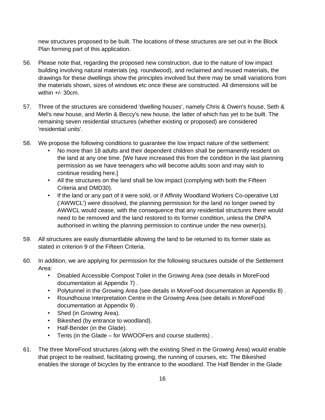new structures proposed to be built. The locations of these structures are set out in the Block Plan forming part of this application.

- 56. Please note that, regarding the proposed new construction, due to the nature of low impact building involving natural materials (eg. roundwood), and reclaimed and reused materials, the drawings for these dwellings show the principles involved but there may be small variations from the materials shown, sizes of windows etc once these are constructed. All dimensions will be within  $+/-$  30 $cm$ .
- 57. Three of the structures are considered 'dwelling houses', namely Chris & Owen's house, Seth & Mel's new house, and Merlin & Beccy's new house, the latter of which has yet to be built. The remaining seven residential structures (whether existing or proposed) are considered 'residential units'.
- 58. We propose the following conditions to guarantee the low impact nature of the settlement:
	- No more than 18 adults and their dependent children shall be permanently resident on the land at any one time. [We have increased this from the condition in the last planning permission as we have teenagers who will become adults soon and may wish to continue residing here.]
	- All the structures on the land shall be low impact (complying with both the Fifteen Criteria and DMD30).
	- If the land or any part of it were sold, or if Affinity Woodland Workers Co-operative Ltd ('AWWCL') were dissolved, the planning permission for the land no longer owned by AWWCL would cease, with the consequence that any residential structures there would need to be removed and the land restored to its former condition, unless the DNPA authorised in writing the planning permission to continue under the new owner(s).
- 59. All structures are easily dismantlable allowing the land to be returned to its former state as stated in criterion 9 of the Fifteen Criteria.
- 60. In addition, we are applying for permission for the following structures outside of the Settlement Area:
	- Disabled Accessible Compost Toilet in the Growing Area (see details in MoreFood documentation at Appendix 7) .
	- Polytunnel in the Growing Area (see details in MoreFood documentation at Appendix 8) .
	- Roundhouse Interpretation Centre in the Growing Area (see details in MoreFood documentation at Appendix 9) .
	- Shed (in Growing Area).
	- Bikeshed (by entrance to woodland).
	- Half-Bender (in the Glade).
	- Tents (in the Glade for WWOOFers and course students) .
- 61. The three MoreFood structures (along with the existing Shed in the Growing Area) would enable that project to be realised, facilitating growing, the running of courses, etc. The Bikeshed enables the storage of bicycles by the entrance to the woodland. The Half Bender in the Glade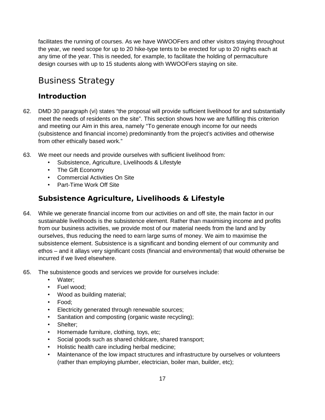facilitates the running of courses. As we have WWOOFers and other visitors staying throughout the year, we need scope for up to 20 hike-type tents to be erected for up to 20 nights each at any time of the year. This is needed, for example, to facilitate the holding of permaculture design courses with up to 15 students along with WWOOFers staying on site.

## Business Strategy

### **Introduction**

- 62. DMD 30 paragraph (vi) states "the proposal will provide sufficient livelihood for and substantially meet the needs of residents on the site". This section shows how we are fulfilling this criterion and meeting our Aim in this area, namely "To generate enough income for our needs (subsistence and financial income) predominantly from the project's activities and otherwise from other ethically based work."
- 63. We meet our needs and provide ourselves with sufficient livelihood from:
	- Subsistence, Agriculture, Livelihoods & Lifestyle
	- The Gift Economy
	- Commercial Activities On Site
	- Part-Time Work Off Site

## **Subsistence Agriculture, Livelihoods & Lifestyle**

- 64. While we generate financial income from our activities on and off site, the main factor in our sustainable livelihoods is the subsistence element. Rather than maximising income and profits from our business activities, we provide most of our material needs from the land and by ourselves, thus reducing the need to earn large sums of money. We aim to maximise the subsistence element. Subsistence is a significant and bonding element of our community and ethos – and it allays very significant costs (financial and environmental) that would otherwise be incurred if we lived elsewhere.
- 65. The subsistence goods and services we provide for ourselves include:
	- Water;
	- Fuel wood;
	- Wood as building material;
	- Food;
	- Electricity generated through renewable sources;
	- Sanitation and composting (organic waste recycling);
	- Shelter:
	- Homemade furniture, clothing, toys, etc;
	- Social goods such as shared childcare, shared transport;
	- Holistic health care including herbal medicine;
	- Maintenance of the low impact structures and infrastructure by ourselves or volunteers (rather than employing plumber, electrician, boiler man, builder, etc);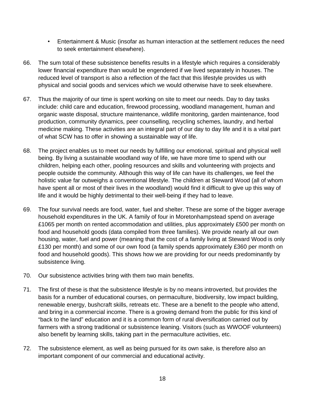- Entertainment & Music (insofar as human interaction at the settlement reduces the need to seek entertainment elsewhere).
- 66. The sum total of these subsistence benefits results in a lifestyle which requires a considerably lower financial expenditure than would be engendered if we lived separately in houses. The reduced level of transport is also a reflection of the fact that this lifestyle provides us with physical and social goods and services which we would otherwise have to seek elsewhere.
- 67. Thus the majority of our time is spent working on site to meet our needs. Day to day tasks include: child care and education, firewood processing, woodland management, human and organic waste disposal, structure maintenance, wildlife monitoring, garden maintenance, food production, community dynamics, peer counselling, recycling schemes, laundry, and herbal medicine making. These activities are an integral part of our day to day life and it is a vital part of what SCW has to offer in showing a sustainable way of life.
- 68. The project enables us to meet our needs by fulfilling our emotional, spiritual and physical well being. By living a sustainable woodland way of life, we have more time to spend with our children, helping each other, pooling resources and skills and volunteering with projects and people outside the community. Although this way of life can have its challenges, we feel the holistic value far outweighs a conventional lifestyle. The children at Steward Wood (all of whom have spent all or most of their lives in the woodland) would find it difficult to give up this way of life and it would be highly detrimental to their well-being if they had to leave.
- 69. The four survival needs are food, water, fuel and shelter. These are some of the bigger average household expenditures in the UK. A family of four in Moretonhampstead spend on average £1065 per month on rented accommodation and utilities, plus approximately £500 per month on food and household goods (data compiled from three families). We provide nearly all our own housing, water, fuel and power (meaning that the cost of a family living at Steward Wood is only £130 per month) and some of our own food (a family spends approximately £360 per month on food and household goods). This shows how we are providing for our needs predominantly by subsistence living.
- 70. Our subsistence activities bring with them two main benefits.
- 71. The first of these is that the subsistence lifestyle is by no means introverted, but provides the basis for a number of educational courses, on permaculture, biodiversity, low impact building, renewable energy, bushcraft skills, retreats etc. These are a benefit to the people who attend, and bring in a commercial income. There is a growing demand from the public for this kind of "back to the land" education and it is a common form of rural diversification carried out by farmers with a strong traditional or subsistence leaning. Visitors (such as WWOOF volunteers) also benefit by learning skills, taking part in the permaculture activities, etc.
- 72. The subsistence element, as well as being pursued for its own sake, is therefore also an important component of our commercial and educational activity.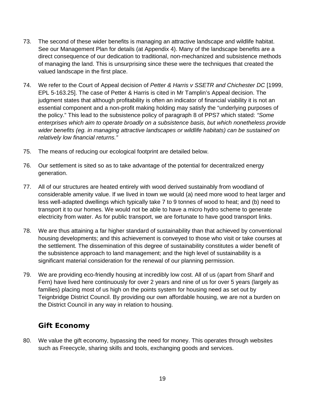- 73. The second of these wider benefits is managing an attractive landscape and wildlife habitat. See our Management Plan for details (at Appendix 4). Many of the landscape benefits are a direct consequence of our dedication to traditional, non-mechanized and subsistence methods of managing the land. This is unsurprising since these were the techniques that created the valued landscape in the first place.
- 74. We refer to the Court of Appeal decision of *Petter & Harris v SSETR and Chichester DC* [1999, EPL 5-163.25]. The case of Petter & Harris is cited in Mr Tamplin's Appeal decision. The judgment states that although profitability is often an indicator of financial viability it is not an essential component and a non-profit making holding may satisfy the "underlying purposes of the policy." This lead to the subsistence policy of paragraph 8 of PPS7 which stated: *"Some enterprises which aim to operate broadly on a subsistence basis, but which nonetheless provide wider benefits (eg. in managing attractive landscapes or wildlife habitats) can be sustained on relatively low financial returns."*
- 75. The means of reducing our ecological footprint are detailed below.
- 76. Our settlement is sited so as to take advantage of the potential for decentralized energy generation.
- 77. All of our structures are heated entirely with wood derived sustainably from woodland of considerable amenity value. If we lived in town we would (a) need more wood to heat larger and less well-adapted dwellings which typically take 7 to 9 tonnes of wood to heat; and (b) need to transport it to our homes. We would not be able to have a micro hydro scheme to generate electricity from water. As for public transport, we are fortunate to have good transport links.
- 78. We are thus attaining a far higher standard of sustainability than that achieved by conventional housing developments; and this achievement is conveyed to those who visit or take courses at the settlement. The dissemination of this degree of sustainability constitutes a wider benefit of the subsistence approach to land management; and the high level of sustainability is a significant material consideration for the renewal of our planning permission.
- 79. We are providing eco-friendly housing at incredibly low cost. All of us (apart from Sharif and Fern) have lived here continuously for over 2 years and nine of us for over 5 years (largely as families) placing most of us high on the points system for housing need as set out by Teignbridge District Council. By providing our own affordable housing, we are not a burden on the District Council in any way in relation to housing.

### **Gift Economy**

80. We value the gift economy, bypassing the need for money. This operates through websites such as Freecycle, sharing skills and tools, exchanging goods and services.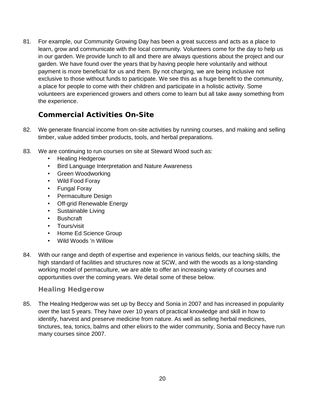81. For example, our Community Growing Day has been a great success and acts as a place to learn, grow and communicate with the local community. Volunteers come for the day to help us in our garden. We provide lunch to all and there are always questions about the project and our garden. We have found over the years that by having people here voluntarily and without payment is more beneficial for us and them. By not charging, we are being inclusive not exclusive to those without funds to participate. We see this as a huge benefit to the community, a place for people to come with their children and participate in a holistic activity. Some volunteers are experienced growers and others come to learn but all take away something from the experience.

### **Commercial Activities On-Site**

- 82. We generate financial income from on-site activities by running courses, and making and selling timber, value added timber products, tools, and herbal preparations.
- 83. We are continuing to run courses on site at Steward Wood such as:
	- Healing Hedgerow
	- Bird Language Interpretation and Nature Awareness
	- Green Woodworking
	- Wild Food Foray
	- Fungal Foray
	- Permaculture Design
	- Off-grid Renewable Energy
	- Sustainable Living
	- Bushcraft
	- Tours/visit
	- Home Ed Science Group
	- Wild Woods 'n Willow
- 84. With our range and depth of expertise and experience in various fields, our teaching skills, the high standard of facilities and structures now at SCW, and with the woods as a long-standing working model of permaculture, we are able to offer an increasing variety of courses and opportunities over the coming years. We detail some of these below.

#### **Healing Hedgerow**

85. The Healing Hedgerow was set up by Beccy and Sonia in 2007 and has increased in popularity over the last 5 years. They have over 10 years of practical knowledge and skill in how to identify, harvest and preserve medicine from nature. As well as selling herbal medicines, tinctures, tea, tonics, balms and other elixirs to the wider community, Sonia and Beccy have run many courses since 2007.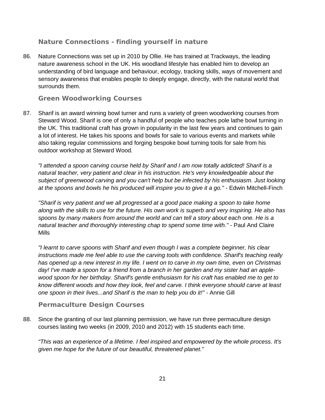#### **Nature Connections - finding yourself in nature**

86. Nature Connections was set up in 2010 by Ollie. He has trained at Trackways, the leading nature awareness school in the UK. His woodland lifestyle has enabled him to develop an understanding of bird language and behaviour, ecology, tracking skills, ways of movement and sensory awareness that enables people to deeply engage, directly, with the natural world that surrounds them.

#### **Green Woodworking Courses**

87. Sharif is an award winning bowl turner and runs a variety of green woodworking courses from Steward Wood. Sharif is one of only a handful of people who teaches pole lathe bowl turning in the UK. This traditional craft has grown in popularity in the last few years and continues to gain a lot of interest. He takes his spoons and bowls for sale to various events and markets while also taking regular commissions and forging bespoke bowl turning tools for sale from his outdoor workshop at Steward Wood.

*"I attended a spoon carving course held by Sharif and I am now totally addicted! Sharif is a natural teacher, very patient and clear in his instruction. He's very knowledgeable about the subject of greenwood carving and you can't help but be infected by his enthusiasm. Just looking at the spoons and bowls he his produced will inspire you to give it a go."* - Edwin Mitchell-Finch

*"Sharif is very patient and we all progressed at a good pace making a spoon to take home along with the skills to use for the future. His own work is superb and very inspiring. He also has spoons by many makers from around the world and can tell a story about each one. He is a natural teacher and thoroughly interesting chap to spend some time with."* - Paul And Claire Mills

*"I learnt to carve spoons with Sharif and even though I was a complete beginner, his clear instructions made me feel able to use the carving tools with confidence. Sharif's teaching really has opened up a new interest in my life. I went on to carve in my own time, even on Christmas day! I've made a spoon for a friend from a branch in her garden and my sister had an applewood spoon for her birthday. Sharif's gentle enthusiasm for his craft has enabled me to get to know different woods and how they look, feel and carve. I think everyone should carve at least one spoon in their lives...and Sharif is the man to help you do it!"* - Annie Gill

#### **Permaculture Design Courses**

88. Since the granting of our last planning permission, we have run three permaculture design courses lasting two weeks (in 2009, 2010 and 2012) with 15 students each time.

*"This was an experience of a lifetime. I feel inspired and empowered by the whole process. It's given me hope for the future of our beautiful, threatened planet."*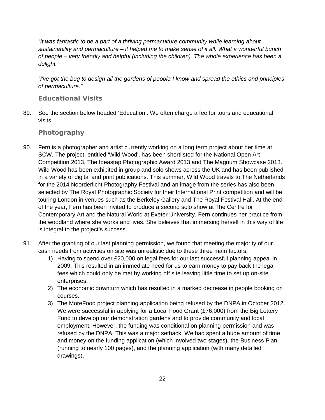*"It was fantastic to be a part of a thriving permaculture community while learning about sustainability and permaculture – it helped me to make sense of it all. What a wonderful bunch of people – very friendly and helpful (including the children). The whole experience has been a delight."*

*"I've got the bug to design all the gardens of people I know and spread the ethics and principles of permaculture."*

#### **Educational Visits**

89. See the section below headed 'Education'. We often charge a fee for tours and educational visits.

#### **Photography**

- 90. Fern is a photographer and artist currently working on a long term project about her time at SCW. The project, entitled 'Wild Wood', has been shortlisted for the National Open Art Competition 2013, The Ideastap Photographic Award 2013 and The Magnum Showcase 2013. Wild Wood has been exhibited in group and solo shows across the UK and has been published in a variety of digital and print publications. This summer, Wild Wood travels to The Netherlands for the 2014 Noorderlicht Photography Festival and an image from the series has also been selected by The Royal Photographic Society for their International Print competition and will be touring London in venues such as the Berkeley Gallery and The Royal Festival Hall. At the end of the year, Fern has been invited to produce a second solo show at The Centre for Contemporary Art and the Natural World at Exeter University. Fern continues her practice from the woodland where she works and lives. She believes that immersing herself in this way of life is integral to the project's success.
- 91. After the granting of our last planning permission, we found that meeting the majority of our cash needs from activities on site was unrealistic due to these three main factors:
	- 1) Having to spend over £20,000 on legal fees for our last successful planning appeal in 2009. This resulted in an immediate need for us to earn money to pay back the legal fees which could only be met by working off site leaving little time to set up on-site enterprises.
	- 2) The economic downturn which has resulted in a marked decrease in people booking on courses.
	- 3) The MoreFood project planning application being refused by the DNPA in October 2012. We were successful in applying for a Local Food Grant (£76,000) from the Big Lottery Fund to develop our demonstration gardens and to provide community and local employment. However, the funding was conditional on planning permission and was refused by the DNPA. This was a major setback. We had spent a huge amount of time and money on the funding application (which involved two stages), the Business Plan (running to nearly 100 pages), and the planning application (with many detailed drawings).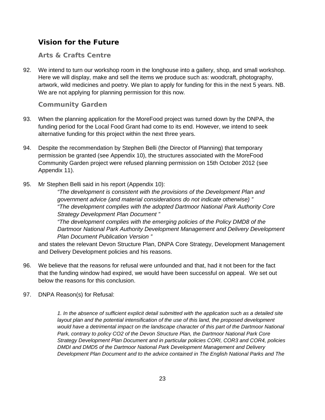### **Vision for the Future**

#### **Arts & Crafts Centre**

92. We intend to turn our workshop room in the longhouse into a gallery, shop, and small workshop. Here we will display, make and sell the items we produce such as: woodcraft, photography, artwork, wild medicines and poetry. We plan to apply for funding for this in the next 5 years. NB. We are not applying for planning permission for this now.

#### **Community Garden**

- 93. When the planning application for the MoreFood project was turned down by the DNPA, the funding period for the Local Food Grant had come to its end. However, we intend to seek alternative funding for this project within the next three years.
- 94. Despite the recommendation by Stephen Belli (the Director of Planning) that temporary permission be granted (see Appendix 10), the structures associated with the MoreFood Community Garden project were refused planning permission on 15th October 2012 (see Appendix 11).
- 95. Mr Stephen Belli said in his report (Appendix 10):

*"The development is consistent with the provisions of the Development Plan and government advice (and material considerations do not indicate otherwise) " "The development complies with the adopted Dartmoor National Park Authority Core Strategy Development Plan Document "*

*"The development complies with the emerging policies of the Policy DMD8 of the Dartmoor National Park Authority Development Management and Delivery Development Plan Document Publication Version "*

and states the relevant Devon Structure Plan, DNPA Core Strategy, Development Management and Delivery Development policies and his reasons.

- 96. We believe that the reasons for refusal were unfounded and that, had it not been for the fact that the funding window had expired, we would have been successful on appeal. We set out below the reasons for this conclusion.
- 97. DNPA Reason(s) for Refusal:

*1. In the absence of sufficient explicit detail submitted with the application such as a detailed site layout plan and the potential intensification of the use of this land, the proposed development would have a detrimental impact on the landscape character of this part of the Dartmoor National Park, contrary to policy CO2 of the Devon Structure Plan, the Dartmoor National Park Core Strategy Development Plan Document and in particular policies CORI, COR3 and COR4, policies DMDI and DMD5 of the Dartmoor National Park Development Management and Delivery Development Plan Document and to the advice contained in The English National Parks and The*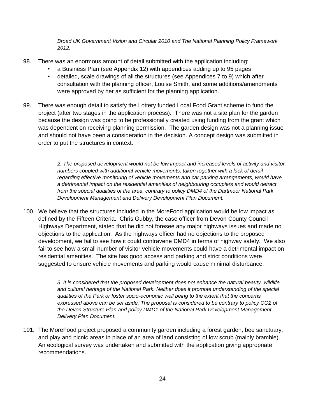*Broad UK Government Vision and Circular 2010 and The National Planning Policy Framework 2012.*

- 98. There was an enormous amount of detail submitted with the application including:
	- a Business Plan (see Appendix 12) with appendices adding up to 95 pages
	- detailed, scale drawings of all the structures (see Appendices 7 to 9) which after consultation with the planning officer, Louise Smith, and some additions/amendments were approved by her as sufficient for the planning application.
- 99. There was enough detail to satisfy the Lottery funded Local Food Grant scheme to fund the project (after two stages in the application process). There was not a site plan for the garden because the design was going to be professionally created using funding from the grant which was dependent on receiving planning permission. The garden design was not a planning issue and should not have been a consideration in the decision. A concept design was submitted in order to put the structures in context.

*2. The proposed development would not be low impact and increased levels of activity and visitor numbers coupled with additional vehicle movements, taken together with a lack of detail regarding effective monitoring of vehicle movements and car parking arrangements, would have a detrimental impact on the residential amenities of neighbouring occupiers and would detract from the special qualities of the area, contrary to policy DMD4 of the Dartmoor National Park Development Management and Delivery Development Plan Document.*

100. We believe that the structures included in the MoreFood application would be low impact as defined by the Fifteen Criteria. Chris Gubby, the case officer from Devon County Council Highways Department, stated that he did not foresee any major highways issues and made no objections to the application. As the highways officer had no objections to the proposed development, we fail to see how it could contravene DMD4 in terms of highway safety. We also fail to see how a small number of visitor vehicle movements could have a detrimental impact on residential amenities. The site has good access and parking and strict conditions were suggested to ensure vehicle movements and parking would cause minimal disturbance.

> *3. It is considered that the proposed development does not enhance the natural beauty. wildlife and cultural heritage of the National Park. Neither does it promote understanding of the special qualities of the Park or foster socio-economic well being to the extent that the concerns expressed above can be set aside. The proposal is considered to be contrary to policy CO2 of the Devon Structure Plan and policy DMD1 of the National Park Development Management Delivery Plan Document.*

101. The MoreFood project proposed a community garden including a forest garden, bee sanctuary, and play and picnic areas in place of an area of land consisting of low scrub (mainly bramble). An ecological survey was undertaken and submitted with the application giving appropriate recommendations.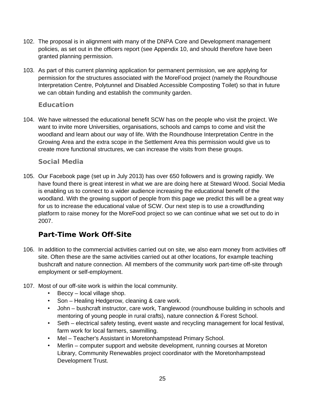- 102. The proposal is in alignment with many of the DNPA Core and Development management policies, as set out in the officers report (see Appendix 10, and should therefore have been granted planning permission.
- 103. As part of this current planning application for permanent permission, we are applying for permission for the structures associated with the MoreFood project (namely the Roundhouse Interpretation Centre, Polytunnel and Disabled Accessible Composting Toilet) so that in future we can obtain funding and establish the community garden.

#### **Education**

104. We have witnessed the educational benefit SCW has on the people who visit the project. We want to invite more Universities, organisations, schools and camps to come and visit the woodland and learn about our way of life. With the Roundhouse Interpretation Centre in the Growing Area and the extra scope in the Settlement Area this permission would give us to create more functional structures, we can increase the visits from these groups.

#### **Social Media**

105. Our Facebook page (set up in July 2013) has over 650 followers and is growing rapidly. We have found there is great interest in what we are are doing here at Steward Wood. Social Media is enabling us to connect to a wider audience increasing the educational benefit of the woodland. With the growing support of people from this page we predict this will be a great way for us to increase the educational value of SCW. Our next step is to use a crowdfunding platform to raise money for the MoreFood project so we can continue what we set out to do in 2007.

## **Part-Time Work Off-Site**

- 106. In addition to the commercial activities carried out on site, we also earn money from activities off site. Often these are the same activities carried out at other locations, for example teaching bushcraft and nature connection. All members of the community work part-time off-site through employment or self-employment.
- 107. Most of our off-site work is within the local community.
	- Beccy local village shop.
	- Son Healing Hedgerow, cleaning & care work.
	- John bushcraft instructor, care work, Tanglewood (roundhouse building in schools and mentoring of young people in rural crafts), nature connection & Forest School.
	- Seth electrical safety testing, event waste and recycling management for local festival, farm work for local farmers, sawmilling.
	- Mel Teacher's Assistant in Moretonhampstead Primary School.
	- Merlin computer support and website development, running courses at Moreton Library, Community Renewables project coordinator with the Moretonhampstead Development Trust.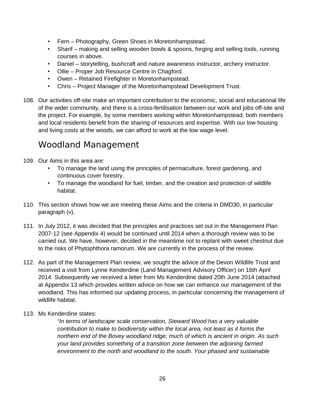- Fern Photography, Green Shoes in Moretonhampstead.
- Sharif making and selling wooden bowls & spoons, forging and selling tools, running courses in above.
- Daniel storytelling, bushcraft and nature awareness instructor, archery instructor.
- Ollie Proper Job Resource Centre in Chagford.
- Owen Retained Firefighter in Moretonhampstead.
- Chris Project Manager of the Moretonhampstead Development Trust.
- 108. Our activities off-site make an important contribution to the economic, social and educational life of the wider community, and there is a cross-fertilisation between our work and jobs off-site and the project. For example, by some members working within Moretonhampstead, both members and local residents benefit from the sharing of resources and expertise. With our low housing and living costs at the woods, we can afford to work at the low wage level.

## Woodland Management

- 109. Our Aims in this area are:
	- To manage the land using the principles of permaculture, forest gardening, and continuous cover forestry.
	- To manage the woodland for fuel, timber, and the creation and protection of wildlife habitat.
- 110. This section shows how we are meeting these Aims and the criteria in DMD30, in particular paragraph (v).
- 111. In July 2012, it was decided that the principles and practices set out in the Management Plan 2007-12 (see Appendix 4) would be continued until 2014 when a thorough review was to be carried out. We have, however, decided in the meantime not to replant with sweet chestnut due to the risks of Phytophthora ramorum. We are currently in the process of the review.
- 112. As part of the Management Plan review, we sought the advice of the Devon Wildlife Trust and received a visit from Lynne Kenderdine (Land Management Advisory Officer) on 16th April 2014. Subsequently we received a letter from Ms Kenderdine dated 20th June 2014 (attached at Appendix 13 which provides written advice on how we can enhance our management of the woodland. This has informed our updating process, in particular concerning the management of wildlife habitat.
- 113. Ms Kenderdine states:

*"In terms of landscape scale conservation, Steward Wood has a very valuable contribution to make to biodiversity within the local area, not least as it forms the northern end of the Bovey woodland ridge; much of which is ancient in origin. As such your land provides something of a transition zone between the adjoining farmed environment to the north and woodland to the south. Your phased and sustainable*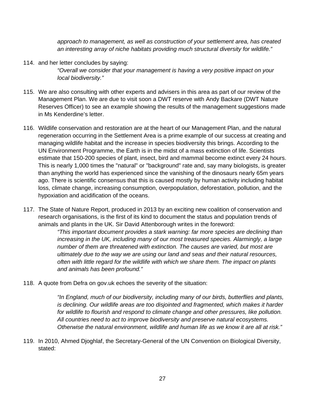*approach to management, as well as construction of your settlement area, has created an interesting array of niche habitats providing much structural diversity for wildlife."*

- 114. and her letter concludes by saying: *"Overall we consider that your management is having a very positive impact on your local biodiversity."*
- 115. We are also consulting with other experts and advisers in this area as part of our review of the Management Plan. We are due to visit soon a DWT reserve with Andy Backare (DWT Nature Reserves Officer) to see an example showing the results of the management suggestions made in Ms Kenderdine's letter.
- 116. Wildlife conservation and restoration are at the heart of our Management Plan, and the natural regeneration occurring in the Settlement Area is a prime example of our success at creating and managing wildlife habitat and the increase in species biodiversity this brings. According to the UN Environment Programme, the Earth is in the midst of a mass extinction of life. Scientists estimate that 150-200 species of plant, insect, bird and mammal become extinct every 24 hours. This is nearly 1,000 times the "natural" or "background" rate and, say many biologists, is greater than anything the world has experienced since the vanishing of the dinosaurs nearly 65m years ago. There is scientific consensus that this is caused mostly by human activity including habitat loss, climate change, increasing consumption, overpopulation, deforestation, pollution, and the hypoxiation and acidification of the oceans.
- 117. The State of Nature Report, produced in 2013 by an exciting new coalition of conservation and research organisations, is the first of its kind to document the status and population trends of animals and plants in the UK. Sir David Attenborough writes in the foreword:

*"This important document provides a stark warning: far more species are declining than increasing in the UK, including many of our most treasured species. Alarmingly, a large number of them are threatened with extinction. The causes are varied, but most are ultimately due to the way we are using our land and seas and their natural resources, often with little regard for the wildlife with which we share them. The impact on plants and animals has been profound."*

118. A quote from Defra on gov.uk echoes the severity of the situation:

*"In England, much of our biodiversity, including many of our birds, butterflies and plants, is declining. Our wildlife areas are too disjointed and fragmented, which makes it harder for wildlife to flourish and respond to climate change and other pressures, like pollution. All countries need to act to improve biodiversity and preserve natural ecosystems. Otherwise the natural environment, wildlife and human life as we know it are all at risk."*

119. In 2010, Ahmed Djoghlaf, the Secretary-General of the UN Convention on Biological Diversity, stated: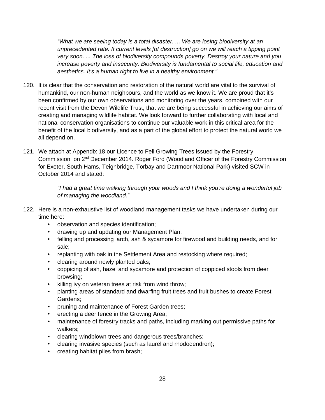*"What we are seeing today is a total disaster. ... We are losing biodiversity at an unprecedented rate. If current levels [of destruction] go on we will reach a tipping point very soon. ... The loss of biodiversity compounds poverty. Destroy your nature and you increase poverty and insecurity. Biodiversity is fundamental to social life, education and aesthetics. It's a human right to live in a healthy environment."*

- 120. It is clear that the conservation and restoration of the natural world are vital to the survival of humankind, our non-human neighbours, and the world as we know it. We are proud that it's been confirmed by our own observations and monitoring over the years, combined with our recent visit from the Devon Wildlife Trust, that we are being successful in achieving our aims of creating and managing wildlife habitat. We look forward to further collaborating with local and national conservation organisations to continue our valuable work in this critical area for the benefit of the local biodiversity, and as a part of the global effort to protect the natural world we all depend on.
- 121. We attach at Appendix 18 our Licence to Fell Growing Trees issued by the Forestry Commission on 2nd December 2014. Roger Ford (Woodland Officer of the Forestry Commission for Exeter, South Hams, Teignbridge, Torbay and Dartmoor National Park) visited SCW in October 2014 and stated:

*"I had a great time walking through your woods and I think you're doing a wonderful job of managing the woodland."*

- 122. Here is a non-exhaustive list of woodland management tasks we have undertaken during our time here:
	- observation and species identification;
	- drawing up and updating our Management Plan;
	- felling and processing larch, ash & sycamore for firewood and building needs, and for sale;
	- replanting with oak in the Settlement Area and restocking where required;
	- clearing around newly planted oaks;
	- coppicing of ash, hazel and sycamore and protection of coppiced stools from deer browsing;
	- killing ivy on veteran trees at risk from wind throw;
	- planting areas of standard and dwarfing fruit trees and fruit bushes to create Forest Gardens;
	- pruning and maintenance of Forest Garden trees;
	- erecting a deer fence in the Growing Area;
	- maintenance of forestry tracks and paths, including marking out permissive paths for walkers;
	- clearing windblown trees and dangerous trees/branches;
	- clearing invasive species (such as laurel and rhododendron);
	- creating habitat piles from brash;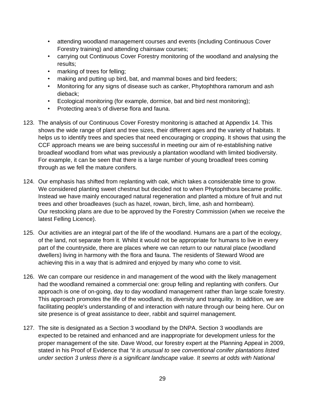- attending woodland management courses and events (including Continuous Cover Forestry training) and attending chainsaw courses;
- carrying out Continuous Cover Forestry monitoring of the woodland and analysing the results;
- marking of trees for felling;
- making and putting up bird, bat, and mammal boxes and bird feeders;
- Monitoring for any signs of disease such as canker, Phytophthora ramorum and ash dieback;
- Ecological monitoring (for example, dormice, bat and bird nest monitoring);
- Protecting area's of diverse flora and fauna.
- 123. The analysis of our Continuous Cover Forestry monitoring is attached at Appendix 14. This shows the wide range of plant and tree sizes, their different ages and the variety of habitats. It helps us to identify trees and species that need encouraging or cropping. It shows that using the CCF approach means we are being successful in meeting our aim of re-establishing native broadleaf woodland from what was previously a plantation woodland with limited biodiversity. For example, it can be seen that there is a large number of young broadleaf trees coming through as we fell the mature conifers.
- 124. Our emphasis has shifted from replanting with oak, which takes a considerable time to grow. We considered planting sweet chestnut but decided not to when Phytophthora became prolific. Instead we have mainly encouraged natural regeneration and planted a mixture of fruit and nut trees and other broadleaves (such as hazel, rowan, birch, lime, ash and hornbeam). Our restocking plans are due to be approved by the Forestry Commission (when we receive the latest Felling Licence).
- 125. Our activities are an integral part of the life of the woodland. Humans are a part of the ecology, of the land, not separate from it. Whilst it would not be appropriate for humans to live in every part of the countryside, there are places where we can return to our natural place (woodland dwellers) living in harmony with the flora and fauna. The residents of Steward Wood are achieving this in a way that is admired and enjoyed by many who come to visit.
- 126. We can compare our residence in and management of the wood with the likely management had the woodland remained a commercial one: group felling and replanting with conifers. Our approach is one of on-going, day to day woodland management rather than large scale forestry. This approach promotes the life of the woodland, its diversity and tranquility. In addition, we are facilitating people's understanding of and interaction with nature through our being here. Our on site presence is of great assistance to deer, rabbit and squirrel management.
- 127. The site is designated as a Section 3 woodland by the DNPA. Section 3 woodlands are expected to be retained and enhanced and are inappropriate for development unless for the proper management of the site. Dave Wood, our forestry expert at the Planning Appeal in 2009, stated in his Proof of Evidence that *"it is unusual to see conventional conifer plantations listed under section 3 unless there is a significant landscape value. It seems at odds with National*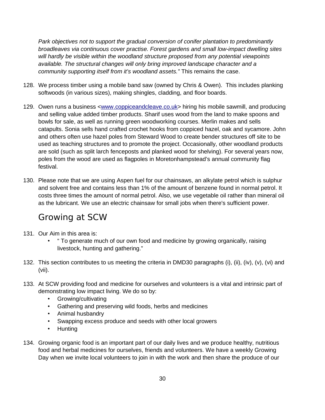*Park objectives not to support the gradual conversion of conifer plantation to predominantly broadleaves via continuous cover practise. Forest gardens and small low-impact dwelling sites will hardly be visible within the woodland structure proposed from any potential viewpoints available. The structural changes will only bring improved landscape character and a community supporting itself from it's woodland assets."* This remains the case.

- 128. We process timber using a mobile band saw (owned by Chris & Owen). This includes planking softwoods (in various sizes), making shingles, cladding, and floor boards.
- 129. Owen runs a business <www.coppiceandcleave.co.uk> hiring his mobile sawmill, and producing and selling value added timber products. Sharif uses wood from the land to make spoons and bowls for sale, as well as running green woodworking courses. Merlin makes and sells catapults. Sonia sells hand crafted crochet hooks from coppiced hazel, oak and sycamore. John and others often use hazel poles from Steward Wood to create bender structures off site to be used as teaching structures and to promote the project. Occasionally, other woodland products are sold (such as split larch fenceposts and planked wood for shelving). For several years now, poles from the wood are used as flagpoles in Moretonhampstead's annual community flag festival.
- 130. Please note that we are using Aspen fuel for our chainsaws, an alkylate petrol which is sulphur and solvent free and contains less than 1% of the amount of benzene found in normal petrol. It costs three times the amount of normal petrol. Also, we use vegetable oil rather than mineral oil as the lubricant. We use an electric chainsaw for small jobs when there's sufficient power.

## Growing at SCW

- 131. Our Aim in this area is:
	- " To generate much of our own food and medicine by growing organically, raising livestock, hunting and gathering."
- 132. This section contributes to us meeting the criteria in DMD30 paragraphs (i), (ii), (iv), (v), (vi) and (vii).
- 133. At SCW providing food and medicine for ourselves and volunteers is a vital and intrinsic part of demonstrating low impact living. We do so by:
	- Growing/cultivating
	- Gathering and preserving wild foods, herbs and medicines
	- Animal husbandry
	- Swapping excess produce and seeds with other local growers
	- Hunting
- 134. Growing organic food is an important part of our daily lives and we produce healthy, nutritious food and herbal medicines for ourselves, friends and volunteers. We have a weekly Growing Day when we invite local volunteers to join in with the work and then share the produce of our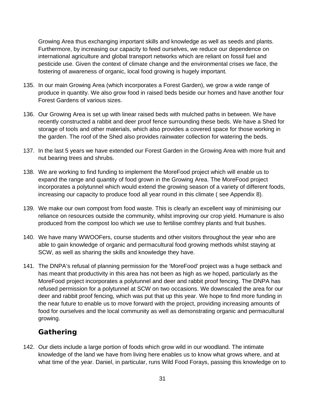Growing Area thus exchanging important skills and knowledge as well as seeds and plants. Furthermore, by increasing our capacity to feed ourselves, we reduce our dependence on international agriculture and global transport networks which are reliant on fossil fuel and pesticide use. Given the context of climate change and the environmental crises we face, the fostering of awareness of organic, local food growing is hugely important.

- 135. In our main Growing Area (which incorporates a Forest Garden), we grow a wide range of produce in quantity. We also grow food in raised beds beside our homes and have another four Forest Gardens of various sizes.
- 136. Our Growing Area is set up with linear raised beds with mulched paths in between. We have recently constructed a rabbit and deer proof fence surrounding these beds. We have a Shed for storage of tools and other materials, which also provides a covered space for those working in the garden. The roof of the Shed also provides rainwater collection for watering the beds.
- 137. In the last 5 years we have extended our Forest Garden in the Growing Area with more fruit and nut bearing trees and shrubs.
- 138. We are working to find funding to implement the MoreFood project which will enable us to expand the range and quantity of food grown in the Growing Area. The MoreFood project incorporates a polytunnel which would extend the growing season of a variety of different foods, increasing our capacity to produce food all year round in this climate ( see Appendix 8).
- 139. We make our own compost from food waste. This is clearly an excellent way of minimising our reliance on resources outside the community, whilst improving our crop yield. Humanure is also produced from the compost loo which we use to fertilise comfrey plants and fruit bushes.
- 140. We have many WWOOFers, course students and other visitors throughout the year who are able to gain knowledge of organic and permacultural food growing methods whilst staying at SCW, as well as sharing the skills and knowledge they have.
- 141. The DNPA's refusal of planning permission for the 'MoreFood' project was a huge setback and has meant that productivity in this area has not been as high as we hoped, particularly as the MoreFood project incorporates a polytunnel and deer and rabbit proof fencing. The DNPA has refused permission for a polytunnel at SCW on two occasions. We downscaled the area for our deer and rabbit proof fencing, which was put that up this year. We hope to find more funding in the near future to enable us to move forward with the project, providing increasing amounts of food for ourselves and the local community as well as demonstrating organic and permacultural growing.

#### **Gathering**

142. Our diets include a large portion of foods which grow wild in our woodland. The intimate knowledge of the land we have from living here enables us to know what grows where, and at what time of the year. Daniel, in particular, runs Wild Food Forays, passing this knowledge on to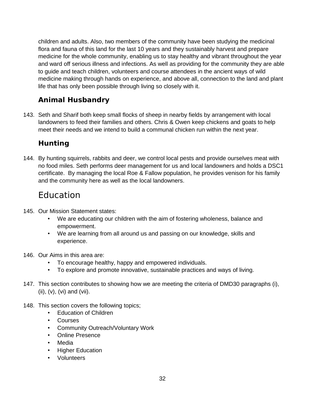children and adults. Also, two members of the community have been studying the medicinal flora and fauna of this land for the last 10 years and they sustainably harvest and prepare medicine for the whole community, enabling us to stay healthy and vibrant throughout the year and ward off serious illness and infections. As well as providing for the community they are able to guide and teach children, volunteers and course attendees in the ancient ways of wild medicine making through hands on experience, and above all, connection to the land and plant life that has only been possible through living so closely with it.

## **Animal Husbandry**

143. Seth and Sharif both keep small flocks of sheep in nearby fields by arrangement with local landowners to feed their families and others. Chris & Owen keep chickens and goats to help meet their needs and we intend to build a communal chicken run within the next year.

### **Hunting**

144. By hunting squirrels, rabbits and deer, we control local pests and provide ourselves meat with no food miles. Seth performs deer management for us and local landowners and holds a DSC1 certificate. By managing the local Roe & Fallow population, he provides venison for his family and the community here as well as the local landowners.

## Education

- 145. Our Mission Statement states:
	- We are educating our children with the aim of fostering wholeness, balance and empowerment.
	- We are learning from all around us and passing on our knowledge, skills and experience.
- 146. Our Aims in this area are:
	- To encourage healthy, happy and empowered individuals.
	- To explore and promote innovative, sustainable practices and ways of living.
- 147. This section contributes to showing how we are meeting the criteria of DMD30 paragraphs (i), (ii), (v), (vi) and (vii).
- 148. This section covers the following topics;
	- Education of Children
	- Courses
	- Community Outreach/Voluntary Work
	- Online Presence
	- Media
	- Higher Education
	- Volunteers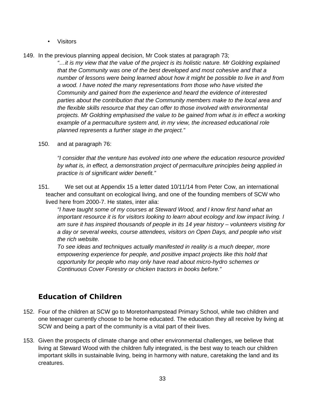- Visitors
- 149. In the previous planning appeal decision, Mr Cook states at paragraph 73;

*"…it is my view that the value of the project is its holistic nature. Mr Goldring explained that the Community was one of the best developed and most cohesive and that a number of lessons were being learned about how it might be possible to live in and from a wood. I have noted the many representations from those who have visited the Community and gained from the experience and heard the evidence of interested parties about the contribution that the Community members make to the local area and the flexible skills resource that they can offer to those involved with environmental projects. Mr Goldring emphasised the value to be gained from what is in effect a working example of a permaculture system and, in my view, the increased educational role planned represents a further stage in the project."*

150. and at paragraph 76:

*"I consider that the venture has evolved into one where the education resource provided by what is, in effect, a demonstration project of permaculture principles being applied in practice is of significant wider benefit."*

151. We set out at Appendix 15 a letter dated 10/11/14 from Peter Cow, an international teacher and consultant on ecological living, and one of the founding members of SCW who lived here from 2000-7. He states, inter alia:

*"I have taught some of my courses at Steward Wood, and I know first hand what an important resource it is for visitors looking to learn about ecology and low impact living. I am sure it has inspired thousands of people in its 14 year history – volunteers visiting for a day or several weeks, course attendees, visitors on Open Days, and people who visit the rich website.* 

*To see ideas and techniques actually manifested in reality is a much deeper, more empowering experience for people, and positive impact projects like this hold that opportunity for people who may only have read about micro-hydro schemes or Continuous Cover Forestry or chicken tractors in books before."*

### **Education of Children**

- 152. Four of the children at SCW go to Moretonhampstead Primary School, while two children and one teenager currently choose to be home educated. The education they all receive by living at SCW and being a part of the community is a vital part of their lives.
- 153. Given the prospects of climate change and other environmental challenges, we believe that living at Steward Wood with the children fully integrated, is the best way to teach our children important skills in sustainable living, being in harmony with nature, caretaking the land and its creatures.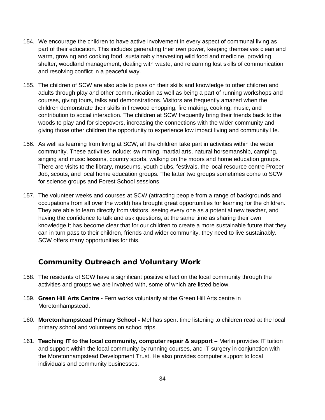- 154. We encourage the children to have active involvement in every aspect of communal living as part of their education. This includes generating their own power, keeping themselves clean and warm, growing and cooking food, sustainably harvesting wild food and medicine, providing shelter, woodland management, dealing with waste, and relearning lost skills of communication and resolving conflict in a peaceful way.
- 155. The children of SCW are also able to pass on their skills and knowledge to other children and adults through play and other communication as well as being a part of running workshops and courses, giving tours, talks and demonstrations. Visitors are frequently amazed when the children demonstrate their skills in firewood chopping, fire making, cooking, music, and contribution to social interaction. The children at SCW frequently bring their friends back to the woods to play and for sleepovers, increasing the connections with the wider community and giving those other children the opportunity to experience low impact living and community life.
- 156. As well as learning from living at SCW, all the children take part in activities within the wider community. These activities include: swimming, martial arts, natural horsemanship, camping, singing and music lessons, country sports, walking on the moors and home education groups. There are visits to the library, museums, youth clubs, festivals, the local resource centre Proper Job, scouts, and local home education groups. The latter two groups sometimes come to SCW for science groups and Forest School sessions.
- 157. The volunteer weeks and courses at SCW (attracting people from a range of backgrounds and occupations from all over the world) has brought great opportunities for learning for the children. They are able to learn directly from visitors, seeing every one as a potential new teacher, and having the confidence to talk and ask questions, at the same time as sharing their own knowledge.It has become clear that for our children to create a more sustainable future that they can in turn pass to their children, friends and wider community, they need to live sustainably. SCW offers many opportunities for this.

### **Community Outreach and Voluntary Work**

- 158. The residents of SCW have a significant positive effect on the local community through the activities and groups we are involved with, some of which are listed below.
- 159. **Green Hill Arts Centre** Fern works voluntarily at the Green Hill Arts centre in Moretonhampstead.
- 160. **Moretonhampstead Primary School** Mel has spent time listening to children read at the local primary school and volunteers on school trips.
- 161. **Teaching IT to the local community, computer repair & support** Merlin provides IT tuition and support within the local community by running courses, and IT surgery in conjunction with the Moretonhampstead Development Trust. He also provides computer support to local individuals and community businesses.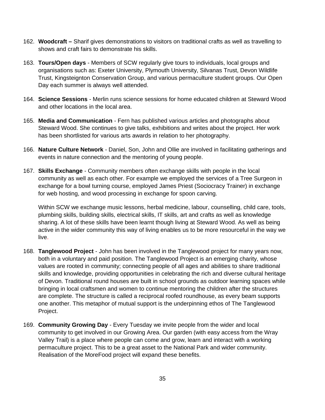- 162. **Woodcraft** Sharif gives demonstrations to visitors on traditional crafts as well as travelling to shows and craft fairs to demonstrate his skills.
- 163. **Tours/Open days** Members of SCW regularly give tours to individuals, local groups and organisations such as: Exeter University, Plymouth University, Silvanas Trust, Devon Wildlife Trust, Kingsteignton Conservation Group, and various permaculture student groups. Our Open Day each summer is always well attended.
- 164. **Science Sessions** Merlin runs science sessions for home educated children at Steward Wood and other locations in the local area.
- 165. **Media and Communication** Fern has published various articles and photographs about Steward Wood. She continues to give talks, exhibitions and writes about the project. Her work has been shortlisted for various arts awards in relation to her photography.
- 166. **Nature Culture Network**  Daniel, Son, John and Ollie are involved in facilitating gatherings and events in nature connection and the mentoring of young people.
- 167. **Skills Exchange** Community members often exchange skills with people in the local community as well as each other. For example we employed the services of a Tree Surgeon in exchange for a bowl turning course, employed James Priest (Sociocracy Trainer) in exchange for web hosting, and wood processing in exchange for spoon carving.

Within SCW we exchange music lessons, herbal medicine, labour, counselling, child care, tools, plumbing skills, building skills, electrical skills, IT skills, art and crafts as well as knowledge sharing. A lot of these skills have been learnt though living at Steward Wood. As well as being active in the wider community this way of living enables us to be more resourceful in the way we live.

- 168. **Tanglewood Project** John has been involved in the Tanglewood project for many years now, both in a voluntary and paid position. The Tanglewood Project is an emerging charity, whose values are rooted in community; connecting people of all ages and abilities to share traditional skills and knowledge, providing opportunities in celebrating the rich and diverse cultural heritage of Devon. Traditional round houses are built in school grounds as outdoor learning spaces while bringing in local craftsmen and women to continue mentoring the children after the structures are complete. The structure is called a reciprocal roofed roundhouse, as every beam supports one another. This metaphor of mutual support is the underpinning ethos of The Tanglewood Project.
- 169. **Community Growing Day** Every Tuesday we invite people from the wider and local community to get involved in our Growing Area. Our garden (with easy access from the Wray Valley Trail) is a place where people can come and grow, learn and interact with a working permaculture project. This to be a great asset to the National Park and wider community. Realisation of the MoreFood project will expand these benefits.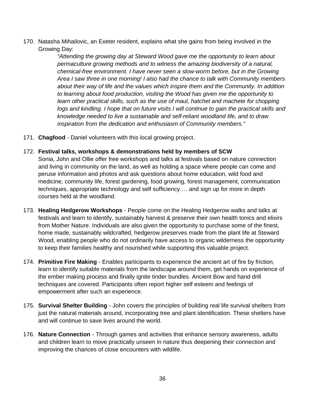170. Natasha Mihailovic, an Exeter resident, explains what she gains from being involved in the Growing Day:

> *"Attending the growing day at Steward Wood gave me the opportunity to learn about permaculture growing methods and to witness the amazing biodiversity of a natural, chemical-free environment. I have never seen a slow-worm before, but in the Growing Area I saw three in one morning! I also had the chance to talk with Community members about their way of life and the values which inspire them and the Community. In addition to learning about food production, visiting the Wood has given me the opportunity to learn other practical skills, such as the use of maul, hatchet and machete for chopping logs and kindling. I hope that on future visits I will continue to gain the practical skills and knowledge needed to live a sustainable and self-reliant woodland life, and to draw inspiration from the dedication and enthusiasm of Community members."*

- 171. **Chagfood** Daniel volunteers with this local growing project.
- 172. **Festival talks, workshops & demonstrations held by members of SCW**

Sonia, John and Ollie offer free workshops and talks at festivals based on nature connection and living in community on the land, as well as holding a space where people can come and peruse information and photos and ask questions about home education, wild food and medicine, community life, forest gardening, food growing, forest management, communication techniques, appropriate technology and self sufficiency … and sign up for more in depth courses held at the woodland.

- 173. **Healing Hedgerow Workshops** People come on the Healing Hedgerow walks and talks at festivals and learn to identify, sustainably harvest & preserve their own health tonics and elixirs from Mother Nature. Individuals are also given the opportunity to purchase some of the finest, home made, sustainably wildcrafted, hedgerow preserves made from the plant life at Steward Wood, enabling people who do not ordinarily have access to organic wilderness the opportunity to keep their families healthy and nourished while supporting this valuable project.
- 174. **Primitive Fire Making**  Enables participants to experience the ancient art of fire by friction, learn to identify suitable materials from the landscape around them, get hands on experience of the ember making process and finally ignite tinder bundles. Ancient Bow and hand drill techniques are covered. Participants often report higher self esteem and feelings of empowerment after such an experience.
- 175. **Survival Shelter Building**  John covers the principles of building real life survival shelters from just the natural materials around, incorporating tree and plant identification. These shelters have and will continue to save lives around the world.
- 176. **Nature Connection**  Through games and activities that enhance sensory awareness, adults and children learn to move practically unseen in nature thus deepening their connection and improving the chances of close encounters with wildlife.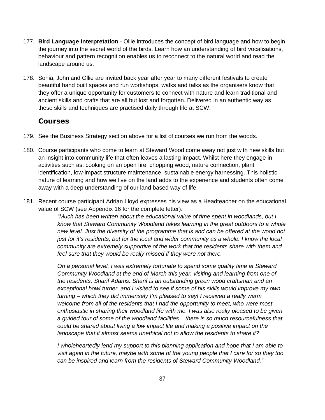- 177. **Bird Language Interpretation**  Ollie introduces the concept of bird language and how to begin the journey into the secret world of the birds. Learn how an understanding of bird vocalisations, behaviour and pattern recognition enables us to reconnect to the natural world and read the landscape around us.
- 178. Sonia, John and Ollie are invited back year after year to many different festivals to create beautiful hand built spaces and run workshops, walks and talks as the organisers know that they offer a unique opportunity for customers to connect with nature and learn traditional and ancient skills and crafts that are all but lost and forgotten. Delivered in an authentic way as these skills and techniques are practised daily through life at SCW.

#### **Courses**

- 179. See the Business Strategy section above for a list of courses we run from the woods.
- 180. Course participants who come to learn at Steward Wood come away not just with new skills but an insight into community life that often leaves a lasting impact. Whilst here they engage in activities such as: cooking on an open fire, chopping wood, nature connection, plant identification, low-impact structure maintenance, sustainable energy harnessing. This holistic nature of learning and how we live on the land adds to the experience and students often come away with a deep understanding of our land based way of life.
- 181. Recent course participant Adrian Lloyd expresses his view as a Headteacher on the educational value of SCW (see Appendix 16 for the complete letter):

*"Much has been written about the educational value of time spent in woodlands, but I know that Steward Community Woodland takes learning in the great outdoors to a whole new level. Just the diversity of the programme that is and can be offered at the wood not just for it's residents, but for the local and wider community as a whole. I know the local community are extremely supportive of the work that the residents share with them and feel sure that they would be really missed if they were not there.*

*On a personal level, I was extremely fortunate to spend some quality time at Steward Community Woodland at the end of March this year, visiting and learning from one of the residents, Sharif Adams. Sharif is an outstanding green wood craftsman and an exceptional bowl turner, and I visited to see if some of his skills would improve my own turning – which they did immensely I'm pleased to say! I received a really warm welcome from all of the residents that I had the opportunity to meet, who were most enthusiastic in sharing their woodland life with me. I was also really pleased to be given a guided tour of some of the woodland facilities – there is so much resourcefulness that could be shared about living a low impact life and making a positive impact on the landscape that it almost seems unethical not to allow the residents to share it?*

*I wholeheartedly lend my support to this planning application and hope that I am able to visit again in the future, maybe with some of the young people that I care for so they too can be inspired and learn from the residents of Steward Community Woodland."*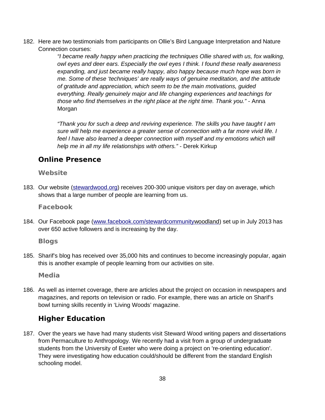182. Here are two testimonials from participants on Ollie's Bird Language Interpretation and Nature Connection courses:

> *"I became really happy when practicing the techniques Ollie shared with us, fox walking, owl eyes and deer ears. Especially the owl eyes I think. I found these really awareness expanding, and just became really happy, also happy because much hope was born in me. Some of these 'techniques' are really ways of genuine meditation, and the attitude of gratitude and appreciation, which seem to be the main motivations, guided everything. Really genuinely major and life changing experiences and teachings for those who find themselves in the right place at the right time. Thank you."* - Anna Morgan

*"Thank you for such a deep and reviving experience. The skills you have taught I am sure will help me experience a greater sense of connection with a far more vivid life. I*  feel I have also learned a deeper connection with myself and my emotions which will *help me in all my life relationships with others."* - Derek Kirkup

#### **Online Presence**

#### **Website**

183. Our website [\( stewardwood. org\)](http://stewardwood.org/) receives 200-300 unique visitors per day on average, which shows that a large number of people are learning from us.

**Facebook**

184. Our Facebook page (www.facebook.com/stewardcommunity woodland) set up in July 2013 has over 650 active followers and is increasing by the day.

**Blogs**

185. Sharif's blog has received over 35,000 hits and continues to become increasingly popular, again this is another example of people learning from our activities on site.

**Media**

186. As well as internet coverage, there are articles about the project on occasion in newspapers and magazines, and reports on television or radio. For example, there was an article on Sharif's bowl turning skills recently in 'Living Woods' magazine.

### **Higher Education**

187. Over the years we have had many students visit Steward Wood writing papers and dissertations from Permaculture to Anthropology. We recently had a visit from a group of undergraduate students from the University of Exeter who were doing a project on 're-orienting education'. They were investigating how education could/should be different from the standard English schooling model.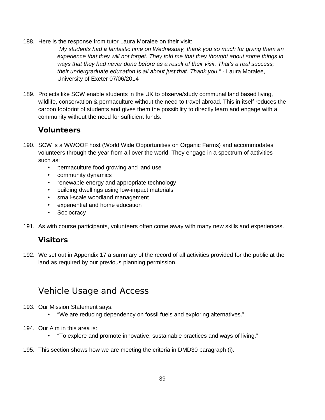188. Here is the response from tutor Laura Moralee on their visit:

*"My students had a fantastic time on Wednesday, thank you so much for giving them an experience that they will not forget. They told me that they thought about some things in ways that they had never done before as a result of their visit. That's a real success; their undergraduate education is all about just that. Thank you."* - Laura Moralee, University of Exeter 07/06/2014

189. Projects like SCW enable students in the UK to observe/study communal land based living, wildlife, conservation & permaculture without the need to travel abroad. This in itself reduces the carbon footprint of students and gives them the possibility to directly learn and engage with a community without the need for sufficient funds.

### **Volunteers**

- 190. SCW is a WWOOF host (World Wide Opportunities on Organic Farms) and accommodates volunteers through the year from all over the world. They engage in a spectrum of activities such as:
	- permaculture food growing and land use
	- community dynamics
	- renewable energy and appropriate technology
	- building dwellings using low-impact materials
	- small-scale woodland management
	- experiential and home education
	- Sociocracy
- 191. As with course participants, volunteers often come away with many new skills and experiences.

### **Visitors**

192. We set out in Appendix 17 a summary of the record of all activities provided for the public at the land as required by our previous planning permission.

## Vehicle Usage and Access

- 193. Our Mission Statement says:
	- "We are reducing dependency on fossil fuels and exploring alternatives."
- 194. Our Aim in this area is:
	- "To explore and promote innovative, sustainable practices and ways of living."
- 195. This section shows how we are meeting the criteria in DMD30 paragraph (i).